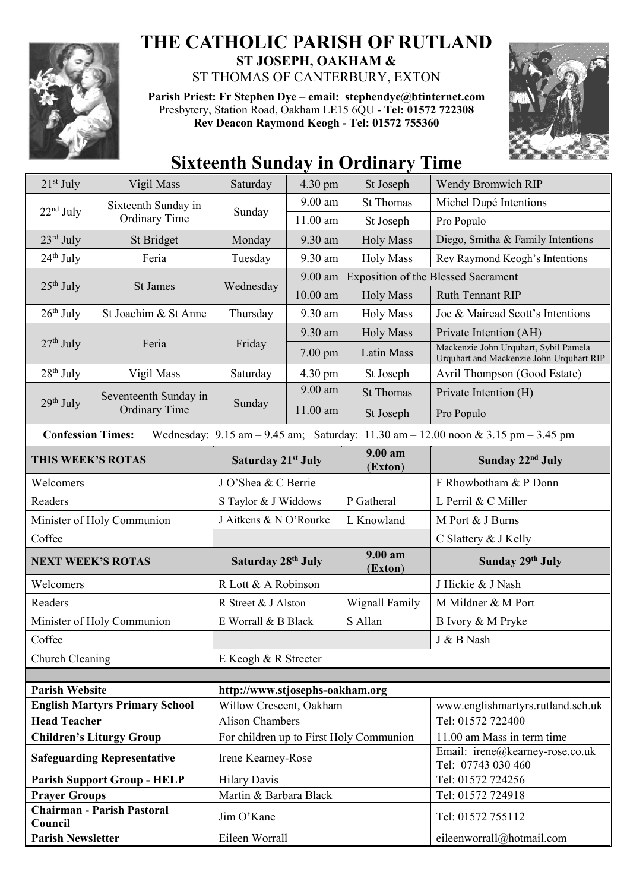

## **THE CATHOLIC PARISH OF RUTLAND ST JOSEPH, OAKHAM &**

ST THOMAS OF CANTERBURY, EXTON **Parish Priest: Fr Stephen Dye** – **[email: stephendye@btinternet.com](mailto:email:%20%20stephendye@btinternet.com)**

Presbytery, Station Road, Oakham LE15 6QU - **Tel: 01572 722308 Rev Deacon Raymond Keogh - Tel: 01572 755360**



## **Sixteenth Sunday in Ordinary Time**

| $21st$ July                                                                                                                                                         | Vigil Mass                                    | Saturday                                                          | 4.30 pm    | St Joseph          | Wendy Bromwich RIP                                                                |  |
|---------------------------------------------------------------------------------------------------------------------------------------------------------------------|-----------------------------------------------|-------------------------------------------------------------------|------------|--------------------|-----------------------------------------------------------------------------------|--|
| $22nd$ July                                                                                                                                                         | Sixteenth Sunday in<br>Ordinary Time          | Sunday                                                            | 9.00 am    | <b>St Thomas</b>   | Michel Dupé Intentions                                                            |  |
|                                                                                                                                                                     |                                               |                                                                   | 11.00 am   | St Joseph          | Pro Populo                                                                        |  |
| $23^{\text{rd}}$ July                                                                                                                                               | St Bridget                                    | Monday                                                            | 9.30 am    | <b>Holy Mass</b>   | Diego, Smitha & Family Intentions                                                 |  |
| $24th$ July                                                                                                                                                         | Feria                                         | Tuesday                                                           | 9.30 am    | <b>Holy Mass</b>   | Rev Raymond Keogh's Intentions                                                    |  |
| $25th$ July                                                                                                                                                         | St James                                      | Wednesday                                                         | 9.00 am    |                    | <b>Exposition of the Blessed Sacrament</b>                                        |  |
|                                                                                                                                                                     |                                               |                                                                   | $10.00$ am | <b>Holy Mass</b>   | <b>Ruth Tennant RIP</b>                                                           |  |
| $26th$ July                                                                                                                                                         | St Joachim & St Anne                          | Thursday                                                          | 9.30 am    | <b>Holy Mass</b>   | Joe & Mairead Scott's Intentions                                                  |  |
|                                                                                                                                                                     |                                               |                                                                   | 9.30 am    | <b>Holy Mass</b>   | Private Intention (AH)                                                            |  |
| $27th$ July                                                                                                                                                         | Feria                                         | Friday                                                            | $7.00$ pm  | Latin Mass         | Mackenzie John Urquhart, Sybil Pamela<br>Urquhart and Mackenzie John Urquhart RIP |  |
| $28th$ July                                                                                                                                                         | Vigil Mass                                    | Saturday                                                          | 4.30 pm    | St Joseph          | Avril Thompson (Good Estate)                                                      |  |
| 29 <sup>th</sup> July                                                                                                                                               | Seventeenth Sunday in<br><b>Ordinary Time</b> | Sunday                                                            | $9.00$ am  | <b>St Thomas</b>   | Private Intention (H)                                                             |  |
|                                                                                                                                                                     |                                               |                                                                   | 11.00 am   | St Joseph          | Pro Populo                                                                        |  |
| <b>Confession Times:</b><br>Wednesday: $9.15 \text{ am} - 9.45 \text{ am}$ ; Saturday: $11.30 \text{ am} - 12.00 \text{ noon} \& 3.15 \text{ pm} - 3.45 \text{ pm}$ |                                               |                                                                   |            |                    |                                                                                   |  |
| THIS WEEK'S ROTAS                                                                                                                                                   |                                               | <b>Saturday 21st July</b>                                         |            | 9.00 am<br>(Exton) | Sunday 22 <sup>nd</sup> July                                                      |  |
| Welcomers                                                                                                                                                           |                                               | J O'Shea & C Berrie                                               |            |                    | F Rhowbotham & P Donn                                                             |  |
| Readers                                                                                                                                                             |                                               | S Taylor & J Widdows                                              |            | P Gatheral         | L Perril & C Miller                                                               |  |
| Minister of Holy Communion                                                                                                                                          |                                               | J Aitkens & N O'Rourke                                            |            | L Knowland         | M Port & J Burns                                                                  |  |
| Coffee                                                                                                                                                              |                                               |                                                                   |            |                    | C Slattery & J Kelly                                                              |  |
| <b>NEXT WEEK'S ROTAS</b>                                                                                                                                            |                                               | Saturday 28th July                                                |            | 9.00 am<br>(Exton) | Sunday 29th July                                                                  |  |
| Welcomers                                                                                                                                                           |                                               | R Lott & A Robinson                                               |            |                    | J Hickie & J Nash                                                                 |  |
| Readers                                                                                                                                                             |                                               | R Street & J Alston                                               |            | Wignall Family     | M Mildner & M Port                                                                |  |
| Minister of Holy Communion                                                                                                                                          |                                               | E Worrall & B Black                                               |            | S Allan            | B Ivory & M Pryke                                                                 |  |
| Coffee                                                                                                                                                              |                                               |                                                                   |            |                    | J & B Nash                                                                        |  |
| Church Cleaning                                                                                                                                                     |                                               | E Keogh & R Streeter                                              |            |                    |                                                                                   |  |
|                                                                                                                                                                     |                                               |                                                                   |            |                    |                                                                                   |  |
| <b>Parish Website</b>                                                                                                                                               |                                               | http://www.stjosephs-oakham.org                                   |            |                    |                                                                                   |  |
| <b>English Martyrs Primary School</b>                                                                                                                               |                                               | Willow Crescent, Oakham                                           |            |                    | www.englishmartyrs.rutland.sch.uk                                                 |  |
| <b>Head Teacher</b><br><b>Children's Liturgy Group</b>                                                                                                              |                                               | <b>Alison Chambers</b><br>For children up to First Holy Communion |            |                    | Tel: 01572 722400<br>11.00 am Mass in term time                                   |  |
|                                                                                                                                                                     |                                               |                                                                   |            |                    | Email: irene@kearney-rose.co.uk                                                   |  |
| <b>Safeguarding Representative</b>                                                                                                                                  |                                               | Irene Kearney-Rose                                                |            |                    | Tel: 07743 030 460                                                                |  |
| <b>Parish Support Group - HELP</b>                                                                                                                                  |                                               | <b>Hilary Davis</b>                                               |            |                    | Tel: 01572 724256                                                                 |  |
| <b>Prayer Groups</b><br><b>Chairman - Parish Pastoral</b>                                                                                                           |                                               | Martin & Barbara Black                                            |            |                    | Tel: 01572 724918                                                                 |  |
| Council                                                                                                                                                             |                                               | Jim O'Kane                                                        |            |                    | Tel: 01572 755112                                                                 |  |
| <b>Parish Newsletter</b>                                                                                                                                            |                                               | Eileen Worrall                                                    |            |                    | eileenworrall@hotmail.com                                                         |  |